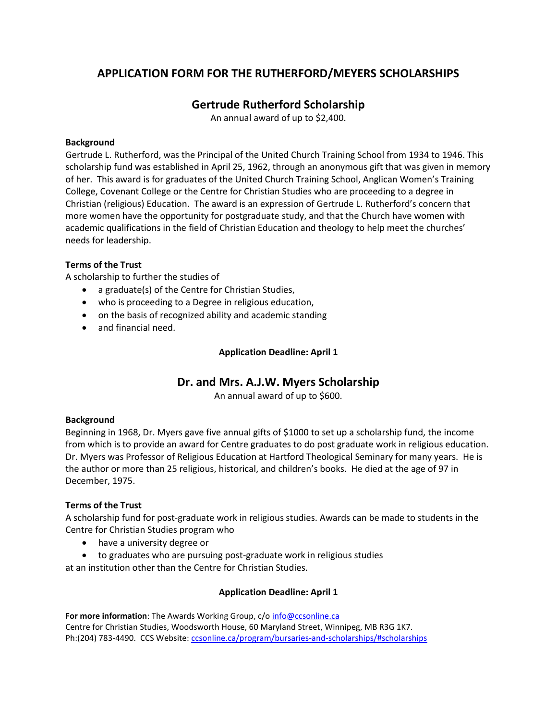## **APPLICATION FORM FOR THE RUTHERFORD/MEYERS SCHOLARSHIPS**

## **Gertrude Rutherford Scholarship**

An annual award of up to \$2,400.

#### **Background**

Gertrude L. Rutherford, was the Principal of the United Church Training School from 1934 to 1946. This scholarship fund was established in April 25, 1962, through an anonymous gift that was given in memory of her. This award is for graduates of the United Church Training School, Anglican Women's Training College, Covenant College or the Centre for Christian Studies who are proceeding to a degree in Christian (religious) Education. The award is an expression of Gertrude L. Rutherford's concern that more women have the opportunity for postgraduate study, and that the Church have women with academic qualifications in the field of Christian Education and theology to help meet the churches' needs for leadership.

#### **Terms of the Trust**

A scholarship to further the studies of

- a graduate(s) of the Centre for Christian Studies,
- who is proceeding to a Degree in religious education,
- on the basis of recognized ability and academic standing
- and financial need.

#### **Application Deadline: April 1**

### **Dr. and Mrs. A.J.W. Myers Scholarship**

An annual award of up to \$600.

#### **Background**

Beginning in 1968, Dr. Myers gave five annual gifts of \$1000 to set up a scholarship fund, the income from which is to provide an award for Centre graduates to do post graduate work in religious education. Dr. Myers was Professor of Religious Education at Hartford Theological Seminary for many years. He is the author or more than 25 religious, historical, and children's books. He died at the age of 97 in December, 1975.

#### **Terms of the Trust**

A scholarship fund for post-graduate work in religious studies. Awards can be made to students in the Centre for Christian Studies program who

- have a university degree or
- to graduates who are pursuing post-graduate work in religious studies

at an institution other than the Centre for Christian Studies.

#### **Application Deadline: April 1**

**For more information**: The Awards Working Group, c/o [info@ccsonline.ca](mailto:info@ccsonline.ca) Centre for Christian Studies, Woodsworth House, 60 Maryland Street, Winnipeg, MB R3G 1K7. Ph:(204) 783-4490. CCS Website: [ccsonline.ca/program/bursaries-and-scholarships/#scholarships](http://ccsonline.ca/program/bursaries-and-scholarships/#scholarships)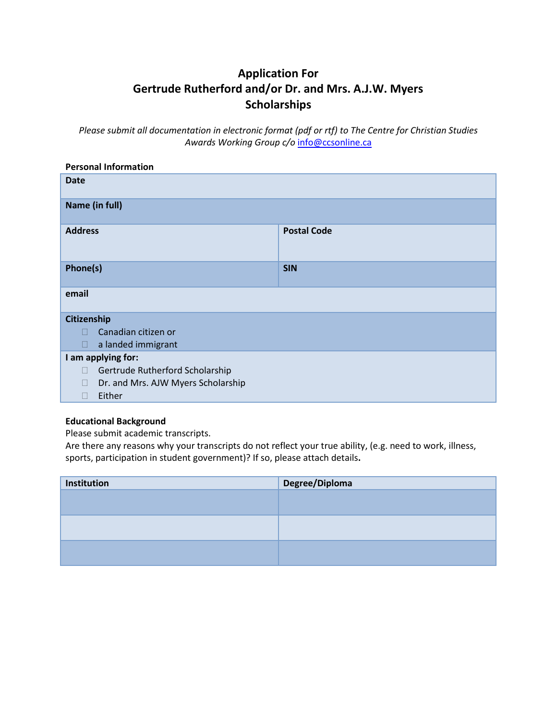# **Application For Gertrude Rutherford and/or Dr. and Mrs. A.J.W. Myers Scholarships**

*Please submit all documentation in electronic format (pdf or rtf) to The Centre for Christian Studies Awards Working Group c/o* [info@ccsonline.ca](mailto:info@ccsonline.ca)

| <b>Personal Information</b>             |                    |  |  |
|-----------------------------------------|--------------------|--|--|
| <b>Date</b>                             |                    |  |  |
| Name (in full)                          |                    |  |  |
| <b>Address</b>                          | <b>Postal Code</b> |  |  |
| Phone(s)                                | <b>SIN</b>         |  |  |
| email                                   |                    |  |  |
| Citizenship                             |                    |  |  |
| Canadian citizen or<br>П                |                    |  |  |
| a landed immigrant<br>П                 |                    |  |  |
| I am applying for:                      |                    |  |  |
| Gertrude Rutherford Scholarship<br>П    |                    |  |  |
| Dr. and Mrs. AJW Myers Scholarship<br>Ш |                    |  |  |
| Either<br>$\Box$                        |                    |  |  |

#### **Educational Background**

Please submit academic transcripts.

Are there any reasons why your transcripts do not reflect your true ability, (e.g. need to work, illness, sports, participation in student government)? If so, please attach details**.**

| Institution | Degree/Diploma |  |
|-------------|----------------|--|
|             |                |  |
|             |                |  |
|             |                |  |
|             |                |  |
|             |                |  |
|             |                |  |